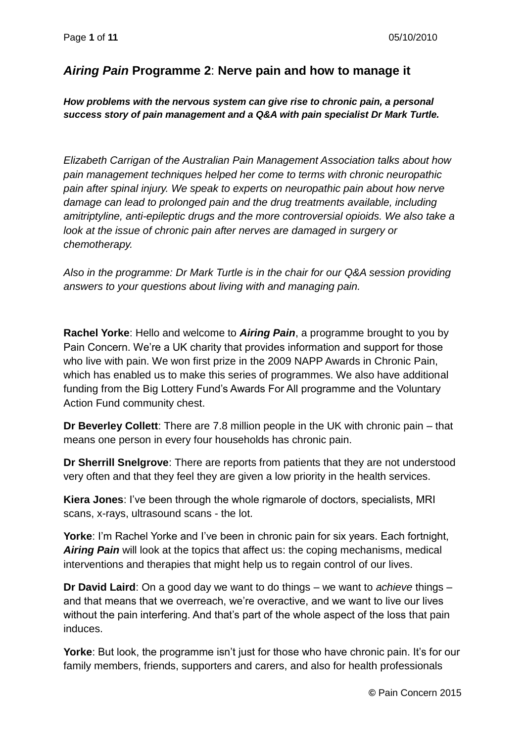## *Airing Pain* **Programme 2**: **Nerve pain and how to manage it**

## *How problems with the nervous system can give rise to chronic pain, a personal success story of pain management and a Q&A with pain specialist Dr Mark Turtle.*

*Elizabeth Carrigan of the Australian Pain Management Association talks about how pain management techniques helped her come to terms with chronic neuropathic pain after spinal injury. We speak to experts on neuropathic pain about how nerve damage can lead to prolonged pain and the drug treatments available, including amitriptyline, anti-epileptic drugs and the more controversial opioids. We also take a*  look at the issue of chronic pain after nerves are damaged in surgery or *chemotherapy.*

*Also in the programme: Dr Mark Turtle is in the chair for our Q&A session providing answers to your questions about living with and managing pain.*

**Rachel Yorke**: Hello and welcome to *Airing Pain*, a programme brought to you by Pain Concern. We're a UK charity that provides information and support for those who live with pain. We won first prize in the 2009 NAPP Awards in Chronic Pain, which has enabled us to make this series of programmes. We also have additional funding from the Big Lottery Fund's Awards For All programme and the Voluntary Action Fund community chest.

**Dr Beverley Collett**: There are 7.8 million people in the UK with chronic pain – that means one person in every four households has chronic pain.

**Dr Sherrill Snelgrove**: There are reports from patients that they are not understood very often and that they feel they are given a low priority in the health services.

**Kiera Jones**: I've been through the whole rigmarole of doctors, specialists, MRI scans, x-rays, ultrasound scans - the lot.

**Yorke**: I'm Rachel Yorke and I've been in chronic pain for six years. Each fortnight, *Airing Pain* will look at the topics that affect us: the coping mechanisms, medical interventions and therapies that might help us to regain control of our lives.

**Dr David Laird**: On a good day we want to do things – we want to *achieve* things – and that means that we overreach, we're overactive, and we want to live our lives without the pain interfering. And that's part of the whole aspect of the loss that pain induces.

**Yorke**: But look, the programme isn't just for those who have chronic pain. It's for our family members, friends, supporters and carers, and also for health professionals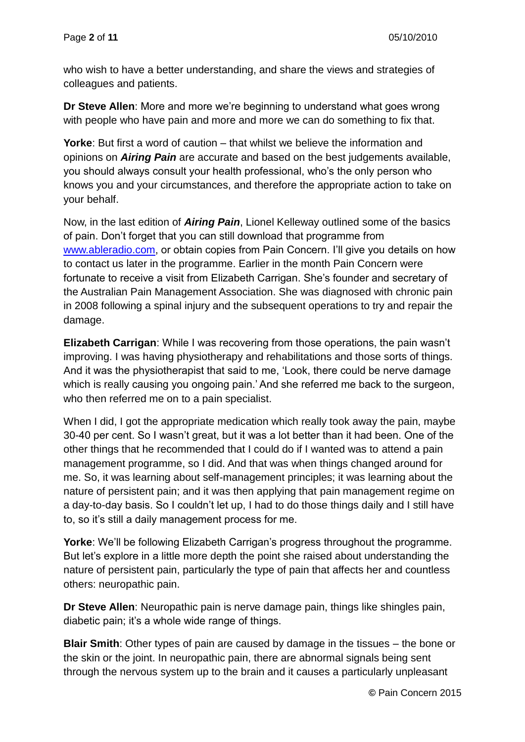who wish to have a better understanding, and share the views and strategies of colleagues and patients.

**Dr Steve Allen**: More and more we're beginning to understand what goes wrong with people who have pain and more and more we can do something to fix that.

**Yorke**: But first a word of caution – that whilst we believe the information and opinions on *Airing Pain* are accurate and based on the best judgements available, you should always consult your health professional, who's the only person who knows you and your circumstances, and therefore the appropriate action to take on your behalf.

Now, in the last edition of *Airing Pain*, Lionel Kelleway outlined some of the basics of pain. Don't forget that you can still download that programme from [www.ableradio.com,](http://www.ableradio.com/) or obtain copies from Pain Concern. I'll give you details on how to contact us later in the programme. Earlier in the month Pain Concern were fortunate to receive a visit from Elizabeth Carrigan. She's founder and secretary of the Australian Pain Management Association. She was diagnosed with chronic pain in 2008 following a spinal injury and the subsequent operations to try and repair the damage.

**Elizabeth Carrigan**: While I was recovering from those operations, the pain wasn't improving. I was having physiotherapy and rehabilitations and those sorts of things. And it was the physiotherapist that said to me, 'Look, there could be nerve damage which is really causing you ongoing pain.' And she referred me back to the surgeon, who then referred me on to a pain specialist.

When I did. I got the appropriate medication which really took away the pain, maybe 30-40 per cent. So I wasn't great, but it was a lot better than it had been. One of the other things that he recommended that I could do if I wanted was to attend a pain management programme, so I did. And that was when things changed around for me. So, it was learning about self-management principles; it was learning about the nature of persistent pain; and it was then applying that pain management regime on a day-to-day basis. So I couldn't let up, I had to do those things daily and I still have to, so it's still a daily management process for me.

**Yorke**: We'll be following Elizabeth Carrigan's progress throughout the programme. But let's explore in a little more depth the point she raised about understanding the nature of persistent pain, particularly the type of pain that affects her and countless others: neuropathic pain.

**Dr Steve Allen**: Neuropathic pain is nerve damage pain, things like shingles pain, diabetic pain; it's a whole wide range of things.

**Blair Smith**: Other types of pain are caused by damage in the tissues – the bone or the skin or the joint. In neuropathic pain, there are abnormal signals being sent through the nervous system up to the brain and it causes a particularly unpleasant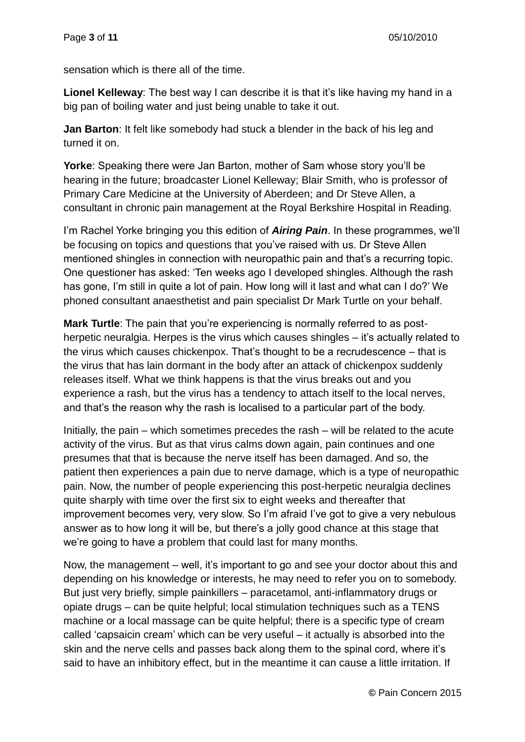sensation which is there all of the time.

**Lionel Kelleway**: The best way I can describe it is that it's like having my hand in a big pan of boiling water and just being unable to take it out.

**Jan Barton**: It felt like somebody had stuck a blender in the back of his leg and turned it on.

**Yorke**: Speaking there were Jan Barton, mother of Sam whose story you'll be hearing in the future; broadcaster Lionel Kelleway; Blair Smith, who is professor of Primary Care Medicine at the University of Aberdeen; and Dr Steve Allen, a consultant in chronic pain management at the Royal Berkshire Hospital in Reading.

I'm Rachel Yorke bringing you this edition of *Airing Pain*. In these programmes, we'll be focusing on topics and questions that you've raised with us. Dr Steve Allen mentioned shingles in connection with neuropathic pain and that's a recurring topic. One questioner has asked: 'Ten weeks ago I developed shingles. Although the rash has gone, I'm still in quite a lot of pain. How long will it last and what can I do?' We phoned consultant anaesthetist and pain specialist Dr Mark Turtle on your behalf.

**Mark Turtle**: The pain that you're experiencing is normally referred to as postherpetic neuralgia. Herpes is the virus which causes shingles – it's actually related to the virus which causes chickenpox. That's thought to be a recrudescence – that is the virus that has lain dormant in the body after an attack of chickenpox suddenly releases itself. What we think happens is that the virus breaks out and you experience a rash, but the virus has a tendency to attach itself to the local nerves, and that's the reason why the rash is localised to a particular part of the body.

Initially, the pain – which sometimes precedes the rash – will be related to the acute activity of the virus. But as that virus calms down again, pain continues and one presumes that that is because the nerve itself has been damaged. And so, the patient then experiences a pain due to nerve damage, which is a type of neuropathic pain. Now, the number of people experiencing this post-herpetic neuralgia declines quite sharply with time over the first six to eight weeks and thereafter that improvement becomes very, very slow. So I'm afraid I've got to give a very nebulous answer as to how long it will be, but there's a jolly good chance at this stage that we're going to have a problem that could last for many months.

Now, the management – well, it's important to go and see your doctor about this and depending on his knowledge or interests, he may need to refer you on to somebody. But just very briefly, simple painkillers – paracetamol, anti-inflammatory drugs or opiate drugs – can be quite helpful; local stimulation techniques such as a TENS machine or a local massage can be quite helpful; there is a specific type of cream called 'capsaicin cream' which can be very useful – it actually is absorbed into the skin and the nerve cells and passes back along them to the spinal cord, where it's said to have an inhibitory effect, but in the meantime it can cause a little irritation. If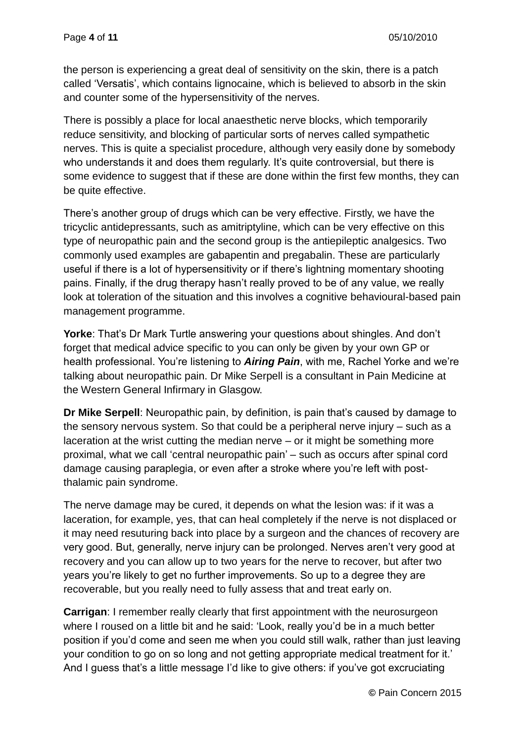the person is experiencing a great deal of sensitivity on the skin, there is a patch called 'Versatis', which contains lignocaine, which is believed to absorb in the skin and counter some of the hypersensitivity of the nerves.

There is possibly a place for local anaesthetic nerve blocks, which temporarily reduce sensitivity, and blocking of particular sorts of nerves called sympathetic nerves. This is quite a specialist procedure, although very easily done by somebody who understands it and does them regularly. It's quite controversial, but there is some evidence to suggest that if these are done within the first few months, they can be quite effective.

There's another group of drugs which can be very effective. Firstly, we have the tricyclic antidepressants, such as amitriptyline, which can be very effective on this type of neuropathic pain and the second group is the antiepileptic analgesics. Two commonly used examples are gabapentin and pregabalin. These are particularly useful if there is a lot of hypersensitivity or if there's lightning momentary shooting pains. Finally, if the drug therapy hasn't really proved to be of any value, we really look at toleration of the situation and this involves a cognitive behavioural-based pain management programme.

**Yorke**: That's Dr Mark Turtle answering your questions about shingles. And don't forget that medical advice specific to you can only be given by your own GP or health professional. You're listening to *Airing Pain*, with me, Rachel Yorke and we're talking about neuropathic pain. Dr Mike Serpell is a consultant in Pain Medicine at the Western General Infirmary in Glasgow.

**Dr Mike Serpell**: Neuropathic pain, by definition, is pain that's caused by damage to the sensory nervous system. So that could be a peripheral nerve injury – such as a laceration at the wrist cutting the median nerve – or it might be something more proximal, what we call 'central neuropathic pain' – such as occurs after spinal cord damage causing paraplegia, or even after a stroke where you're left with postthalamic pain syndrome.

The nerve damage may be cured, it depends on what the lesion was: if it was a laceration, for example, yes, that can heal completely if the nerve is not displaced or it may need resuturing back into place by a surgeon and the chances of recovery are very good. But, generally, nerve injury can be prolonged. Nerves aren't very good at recovery and you can allow up to two years for the nerve to recover, but after two years you're likely to get no further improvements. So up to a degree they are recoverable, but you really need to fully assess that and treat early on.

**Carrigan:** I remember really clearly that first appointment with the neurosurgeon where I roused on a little bit and he said: 'Look, really you'd be in a much better position if you'd come and seen me when you could still walk, rather than just leaving your condition to go on so long and not getting appropriate medical treatment for it.' And I guess that's a little message I'd like to give others: if you've got excruciating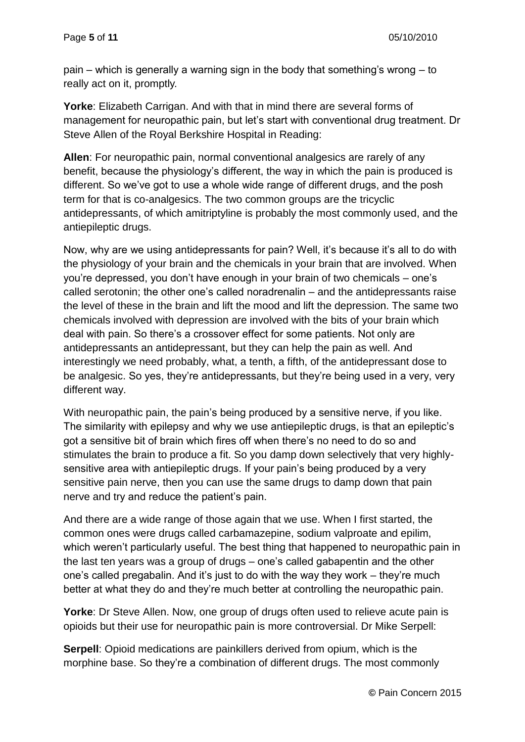pain – which is generally a warning sign in the body that something's wrong – to really act on it, promptly.

**Yorke**: Elizabeth Carrigan. And with that in mind there are several forms of management for neuropathic pain, but let's start with conventional drug treatment. Dr Steve Allen of the Royal Berkshire Hospital in Reading:

**Allen**: For neuropathic pain, normal conventional analgesics are rarely of any benefit, because the physiology's different, the way in which the pain is produced is different. So we've got to use a whole wide range of different drugs, and the posh term for that is co-analgesics. The two common groups are the tricyclic antidepressants, of which amitriptyline is probably the most commonly used, and the antiepileptic drugs.

Now, why are we using antidepressants for pain? Well, it's because it's all to do with the physiology of your brain and the chemicals in your brain that are involved. When you're depressed, you don't have enough in your brain of two chemicals – one's called serotonin; the other one's called noradrenalin – and the antidepressants raise the level of these in the brain and lift the mood and lift the depression. The same two chemicals involved with depression are involved with the bits of your brain which deal with pain. So there's a crossover effect for some patients. Not only are antidepressants an antidepressant, but they can help the pain as well. And interestingly we need probably, what, a tenth, a fifth, of the antidepressant dose to be analgesic. So yes, they're antidepressants, but they're being used in a very, very different way.

With neuropathic pain, the pain's being produced by a sensitive nerve, if you like. The similarity with epilepsy and why we use antiepileptic drugs, is that an epileptic's got a sensitive bit of brain which fires off when there's no need to do so and stimulates the brain to produce a fit. So you damp down selectively that very highlysensitive area with antiepileptic drugs. If your pain's being produced by a very sensitive pain nerve, then you can use the same drugs to damp down that pain nerve and try and reduce the patient's pain.

And there are a wide range of those again that we use. When I first started, the common ones were drugs called carbamazepine, sodium valproate and epilim, which weren't particularly useful. The best thing that happened to neuropathic pain in the last ten years was a group of drugs – one's called gabapentin and the other one's called pregabalin. And it's just to do with the way they work – they're much better at what they do and they're much better at controlling the neuropathic pain.

**Yorke**: Dr Steve Allen. Now, one group of drugs often used to relieve acute pain is opioids but their use for neuropathic pain is more controversial. Dr Mike Serpell:

**Serpell**: Opioid medications are painkillers derived from opium, which is the morphine base. So they're a combination of different drugs. The most commonly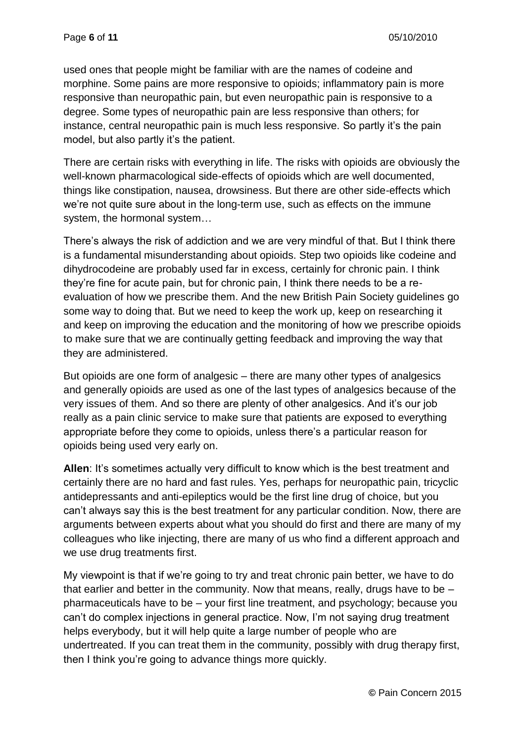used ones that people might be familiar with are the names of codeine and morphine. Some pains are more responsive to opioids; inflammatory pain is more responsive than neuropathic pain, but even neuropathic pain is responsive to a degree. Some types of neuropathic pain are less responsive than others; for instance, central neuropathic pain is much less responsive. So partly it's the pain model, but also partly it's the patient.

There are certain risks with everything in life. The risks with opioids are obviously the well-known pharmacological side-effects of opioids which are well documented, things like constipation, nausea, drowsiness. But there are other side-effects which we're not quite sure about in the long-term use, such as effects on the immune system, the hormonal system…

There's always the risk of addiction and we are very mindful of that. But I think there is a fundamental misunderstanding about opioids. Step two opioids like codeine and dihydrocodeine are probably used far in excess, certainly for chronic pain. I think they're fine for acute pain, but for chronic pain, I think there needs to be a reevaluation of how we prescribe them. And the new British Pain Society guidelines go some way to doing that. But we need to keep the work up, keep on researching it and keep on improving the education and the monitoring of how we prescribe opioids to make sure that we are continually getting feedback and improving the way that they are administered.

But opioids are one form of analgesic – there are many other types of analgesics and generally opioids are used as one of the last types of analgesics because of the very issues of them. And so there are plenty of other analgesics. And it's our job really as a pain clinic service to make sure that patients are exposed to everything appropriate before they come to opioids, unless there's a particular reason for opioids being used very early on.

**Allen**: It's sometimes actually very difficult to know which is the best treatment and certainly there are no hard and fast rules. Yes, perhaps for neuropathic pain, tricyclic antidepressants and anti-epileptics would be the first line drug of choice, but you can't always say this is the best treatment for any particular condition. Now, there are arguments between experts about what you should do first and there are many of my colleagues who like injecting, there are many of us who find a different approach and we use drug treatments first.

My viewpoint is that if we're going to try and treat chronic pain better, we have to do that earlier and better in the community. Now that means, really, drugs have to be – pharmaceuticals have to be – your first line treatment, and psychology; because you can't do complex injections in general practice. Now, I'm not saying drug treatment helps everybody, but it will help quite a large number of people who are undertreated. If you can treat them in the community, possibly with drug therapy first, then I think you're going to advance things more quickly.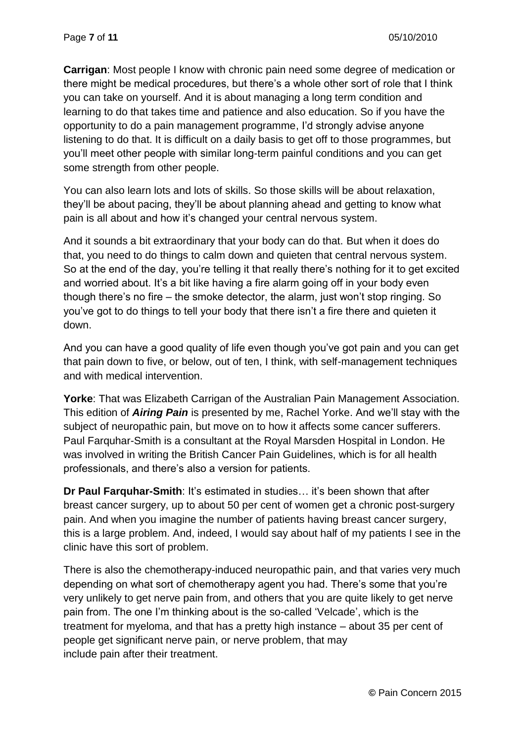**Carrigan**: Most people I know with chronic pain need some degree of medication or there might be medical procedures, but there's a whole other sort of role that I think you can take on yourself. And it is about managing a long term condition and learning to do that takes time and patience and also education. So if you have the opportunity to do a pain management programme, I'd strongly advise anyone listening to do that. It is difficult on a daily basis to get off to those programmes, but you'll meet other people with similar long-term painful conditions and you can get some strength from other people.

You can also learn lots and lots of skills. So those skills will be about relaxation, they'll be about pacing, they'll be about planning ahead and getting to know what pain is all about and how it's changed your central nervous system.

And it sounds a bit extraordinary that your body can do that. But when it does do that, you need to do things to calm down and quieten that central nervous system. So at the end of the day, you're telling it that really there's nothing for it to get excited and worried about. It's a bit like having a fire alarm going off in your body even though there's no fire – the smoke detector, the alarm, just won't stop ringing. So you've got to do things to tell your body that there isn't a fire there and quieten it down.

And you can have a good quality of life even though you've got pain and you can get that pain down to five, or below, out of ten, I think, with self-management techniques and with medical intervention.

**Yorke**: That was Elizabeth Carrigan of the Australian Pain Management Association. This edition of *Airing Pain* is presented by me, Rachel Yorke. And we'll stay with the subject of neuropathic pain, but move on to how it affects some cancer sufferers. Paul Farquhar-Smith is a consultant at the Royal Marsden Hospital in London. He was involved in writing the British Cancer Pain Guidelines, which is for all health professionals, and there's also a version for patients.

**Dr Paul Farquhar-Smith: It's estimated in studies... it's been shown that after** breast cancer surgery, up to about 50 per cent of women get a chronic post-surgery pain. And when you imagine the number of patients having breast cancer surgery, this is a large problem. And, indeed, I would say about half of my patients I see in the clinic have this sort of problem.

There is also the chemotherapy-induced neuropathic pain, and that varies very much depending on what sort of chemotherapy agent you had. There's some that you're very unlikely to get nerve pain from, and others that you are quite likely to get nerve pain from. The one I'm thinking about is the so-called 'Velcade', which is the treatment for myeloma, and that has a pretty high instance – about 35 per cent of people get significant nerve pain, or nerve problem, that may include pain after their treatment.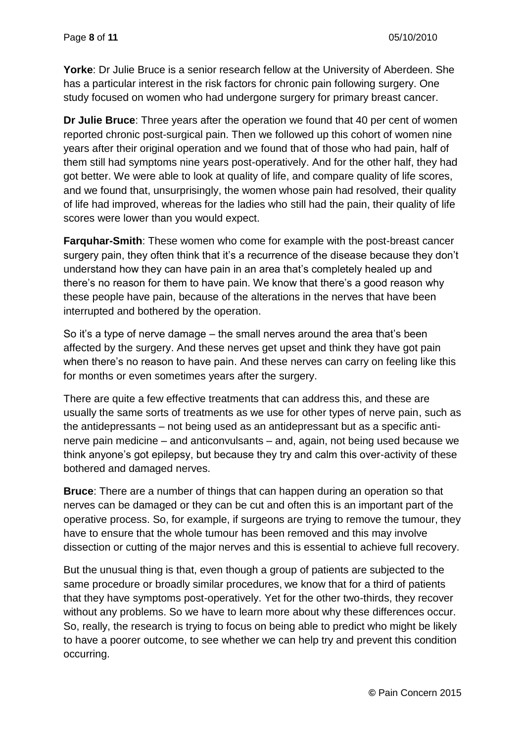**Yorke**: Dr Julie Bruce is a senior research fellow at the University of Aberdeen. She has a particular interest in the risk factors for chronic pain following surgery. One study focused on women who had undergone surgery for primary breast cancer.

**Dr Julie Bruce**: Three years after the operation we found that 40 per cent of women reported chronic post-surgical pain. Then we followed up this cohort of women nine years after their original operation and we found that of those who had pain, half of them still had symptoms nine years post-operatively. And for the other half, they had got better. We were able to look at quality of life, and compare quality of life scores, and we found that, unsurprisingly, the women whose pain had resolved, their quality of life had improved, whereas for the ladies who still had the pain, their quality of life scores were lower than you would expect.

**Farquhar-Smith**: These women who come for example with the post-breast cancer surgery pain, they often think that it's a recurrence of the disease because they don't understand how they can have pain in an area that's completely healed up and there's no reason for them to have pain. We know that there's a good reason why these people have pain, because of the alterations in the nerves that have been interrupted and bothered by the operation.

So it's a type of nerve damage – the small nerves around the area that's been affected by the surgery. And these nerves get upset and think they have got pain when there's no reason to have pain. And these nerves can carry on feeling like this for months or even sometimes years after the surgery.

There are quite a few effective treatments that can address this, and these are usually the same sorts of treatments as we use for other types of nerve pain, such as the antidepressants – not being used as an antidepressant but as a specific antinerve pain medicine – and anticonvulsants – and, again, not being used because we think anyone's got epilepsy, but because they try and calm this over-activity of these bothered and damaged nerves.

**Bruce**: There are a number of things that can happen during an operation so that nerves can be damaged or they can be cut and often this is an important part of the operative process. So, for example, if surgeons are trying to remove the tumour, they have to ensure that the whole tumour has been removed and this may involve dissection or cutting of the major nerves and this is essential to achieve full recovery.

But the unusual thing is that, even though a group of patients are subjected to the same procedure or broadly similar procedures, we know that for a third of patients that they have symptoms post-operatively. Yet for the other two-thirds, they recover without any problems. So we have to learn more about why these differences occur. So, really, the research is trying to focus on being able to predict who might be likely to have a poorer outcome, to see whether we can help try and prevent this condition occurring.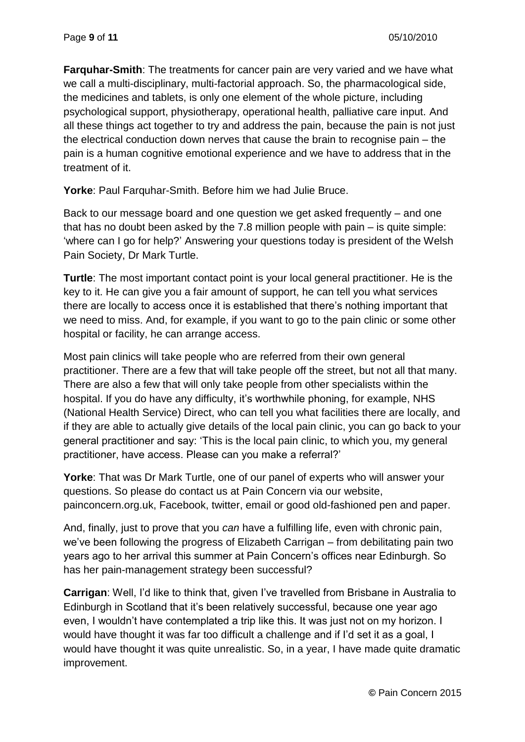**Farquhar-Smith**: The treatments for cancer pain are very varied and we have what we call a multi-disciplinary, multi-factorial approach. So, the pharmacological side, the medicines and tablets, is only one element of the whole picture, including psychological support, physiotherapy, operational health, palliative care input. And all these things act together to try and address the pain, because the pain is not just the electrical conduction down nerves that cause the brain to recognise pain – the pain is a human cognitive emotional experience and we have to address that in the treatment of it.

**Yorke**: Paul Farquhar-Smith. Before him we had Julie Bruce.

Back to our message board and one question we get asked frequently – and one that has no doubt been asked by the 7.8 million people with pain – is quite simple: 'where can I go for help?' Answering your questions today is president of the Welsh Pain Society, Dr Mark Turtle.

**Turtle**: The most important contact point is your local general practitioner. He is the key to it. He can give you a fair amount of support, he can tell you what services there are locally to access once it is established that there's nothing important that we need to miss. And, for example, if you want to go to the pain clinic or some other hospital or facility, he can arrange access.

Most pain clinics will take people who are referred from their own general practitioner. There are a few that will take people off the street, but not all that many. There are also a few that will only take people from other specialists within the hospital. If you do have any difficulty, it's worthwhile phoning, for example, NHS (National Health Service) Direct, who can tell you what facilities there are locally, and if they are able to actually give details of the local pain clinic, you can go back to your general practitioner and say: 'This is the local pain clinic, to which you, my general practitioner, have access. Please can you make a referral?'

**Yorke**: That was Dr Mark Turtle, one of our panel of experts who will answer your questions. So please do contact us at Pain Concern via our website, painconcern.org.uk, Facebook, twitter, email or good old-fashioned pen and paper.

And, finally, just to prove that you *can* have a fulfilling life, even with chronic pain, we've been following the progress of Elizabeth Carrigan – from debilitating pain two years ago to her arrival this summer at Pain Concern's offices near Edinburgh. So has her pain-management strategy been successful?

**Carrigan**: Well, I'd like to think that, given I've travelled from Brisbane in Australia to Edinburgh in Scotland that it's been relatively successful, because one year ago even, I wouldn't have contemplated a trip like this. It was just not on my horizon. I would have thought it was far too difficult a challenge and if I'd set it as a goal, I would have thought it was quite unrealistic. So, in a year, I have made quite dramatic improvement.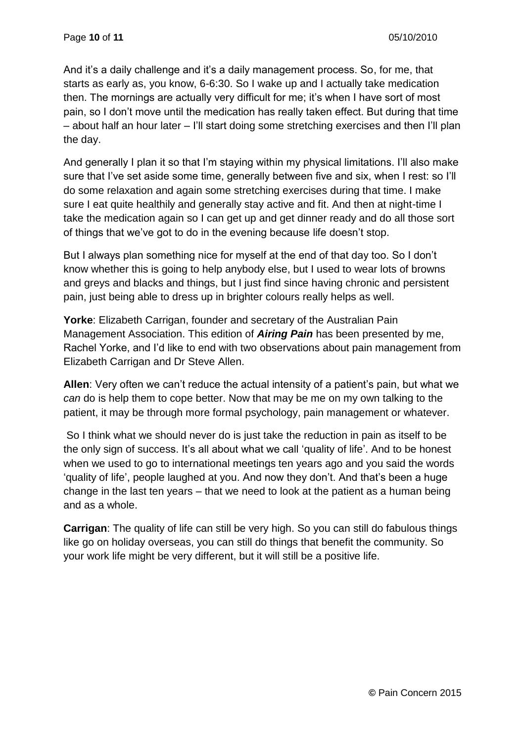And it's a daily challenge and it's a daily management process. So, for me, that starts as early as, you know, 6-6:30. So I wake up and I actually take medication then. The mornings are actually very difficult for me; it's when I have sort of most pain, so I don't move until the medication has really taken effect. But during that time – about half an hour later – I'll start doing some stretching exercises and then I'll plan the day.

And generally I plan it so that I'm staying within my physical limitations. I'll also make sure that I've set aside some time, generally between five and six, when I rest: so I'll do some relaxation and again some stretching exercises during that time. I make sure I eat quite healthily and generally stay active and fit. And then at night-time I take the medication again so I can get up and get dinner ready and do all those sort of things that we've got to do in the evening because life doesn't stop.

But I always plan something nice for myself at the end of that day too. So I don't know whether this is going to help anybody else, but I used to wear lots of browns and greys and blacks and things, but I just find since having chronic and persistent pain, just being able to dress up in brighter colours really helps as well.

**Yorke**: Elizabeth Carrigan, founder and secretary of the Australian Pain Management Association. This edition of *Airing Pain* has been presented by me, Rachel Yorke, and I'd like to end with two observations about pain management from Elizabeth Carrigan and Dr Steve Allen.

**Allen**: Very often we can't reduce the actual intensity of a patient's pain, but what we *can* do is help them to cope better. Now that may be me on my own talking to the patient, it may be through more formal psychology, pain management or whatever.

So I think what we should never do is just take the reduction in pain as itself to be the only sign of success. It's all about what we call 'quality of life'. And to be honest when we used to go to international meetings ten years ago and you said the words 'quality of life', people laughed at you. And now they don't. And that's been a huge change in the last ten years – that we need to look at the patient as a human being and as a whole.

**Carrigan**: The quality of life can still be very high. So you can still do fabulous things like go on holiday overseas, you can still do things that benefit the community. So your work life might be very different, but it will still be a positive life.